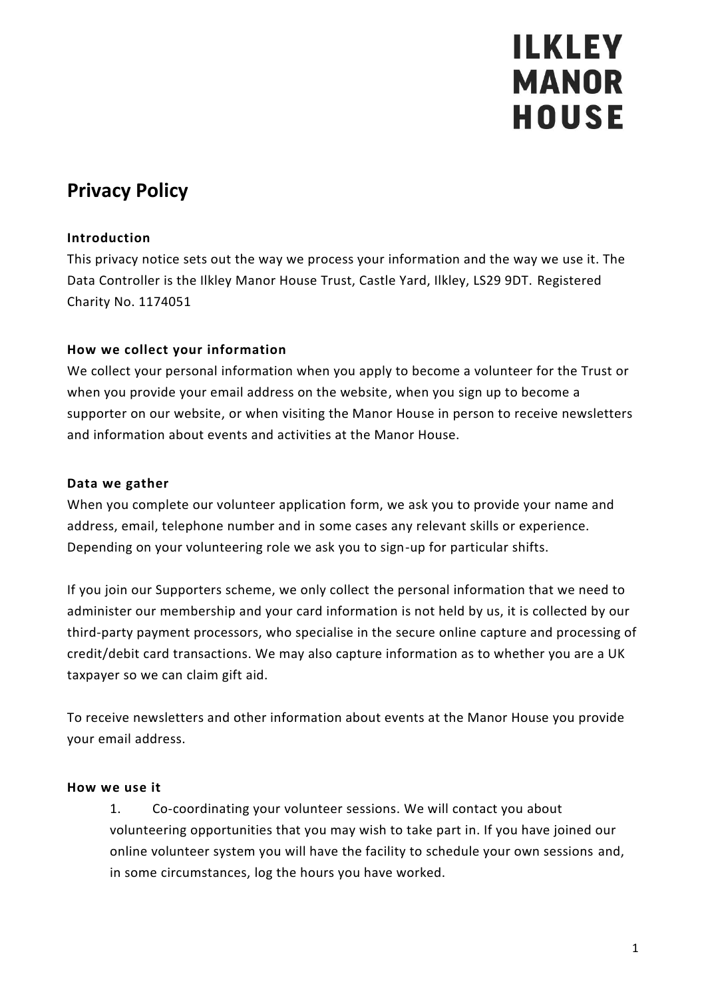# **Privacy Policy**

#### **Introduction**

This privacy notice sets out the way we process your information and the way we use it. The Data Controller is the Ilkley Manor House Trust, Castle Yard, Ilkley, LS29 9DT. Registered Charity No. 1174051

#### **How we collect your information**

We collect your personal information when you apply to become a volunteer for the Trust or when you provide your email address on the website, when you sign up to become a supporter on our website, or when visiting the Manor House in person to receive newsletters and information about events and activities at the Manor House.

#### **Data we gather**

When you complete our volunteer application form, we ask you to provide your name and address, email, telephone number and in some cases any relevant skills or experience. Depending on your volunteering role we ask you to sign-up for particular shifts.

If you join our Supporters scheme, we only collect the personal information that we need to administer our membership and your card information is not held by us, it is collected by our third-party payment processors, who specialise in the secure online capture and processing of credit/debit card transactions. We may also capture information as to whether you are a UK taxpayer so we can claim gift aid.

To receive newsletters and other information about events at the Manor House you provide your email address.

#### **How we use it**

1. Co-coordinating your volunteer sessions. We will contact you about volunteering opportunities that you may wish to take part in. If you have joined our online volunteer system you will have the facility to schedule your own sessions and, in some circumstances, log the hours you have worked.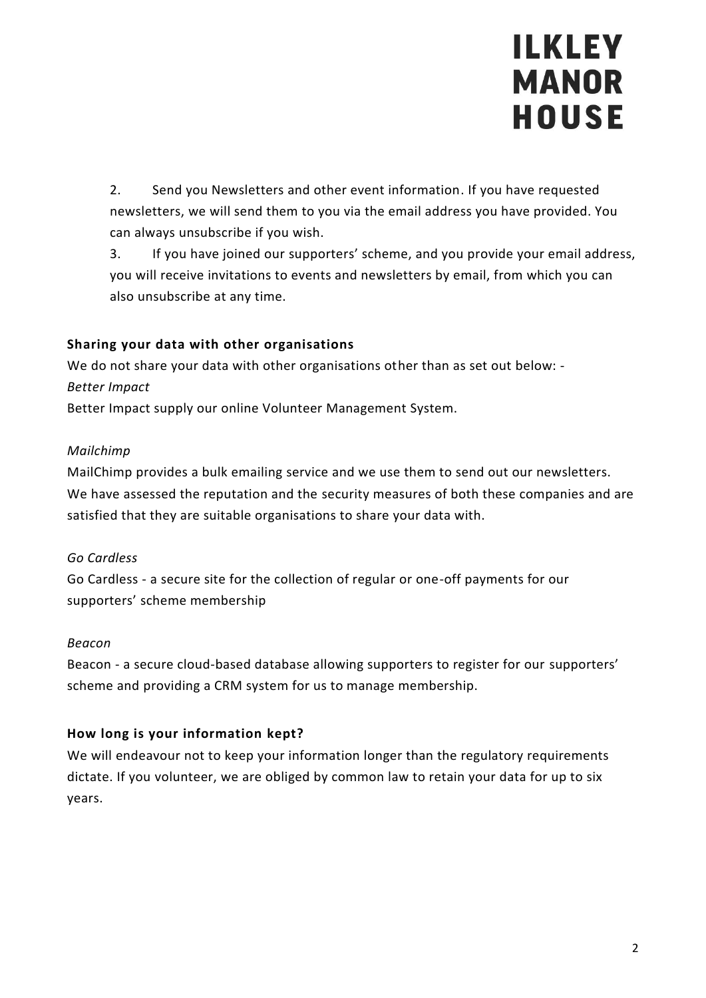2. Send you Newsletters and other event information. If you have requested newsletters, we will send them to you via the email address you have provided. You can always unsubscribe if you wish.

3. If you have joined our supporters' scheme, and you provide your email address, you will receive invitations to events and newsletters by email, from which you can also unsubscribe at any time.

### **Sharing your data with other organisations**

We do not share your data with other organisations other than as set out below: - *Better Impact*

Better Impact supply our online Volunteer Management System.

### *Mailchimp*

MailChimp provides a bulk emailing service and we use them to send out our newsletters. We have assessed the reputation and the security measures of both these companies and are satisfied that they are suitable organisations to share your data with.

# *Go Cardless*

Go Cardless - a secure site for the collection of regular or one-off payments for our supporters' scheme membership

#### *Beacon*

Beacon - a secure cloud-based database allowing supporters to register for our supporters' scheme and providing a CRM system for us to manage membership.

# **How long is your information kept?**

We will endeavour not to keep your information longer than the regulatory requirements dictate. If you volunteer, we are obliged by common law to retain your data for up to six years.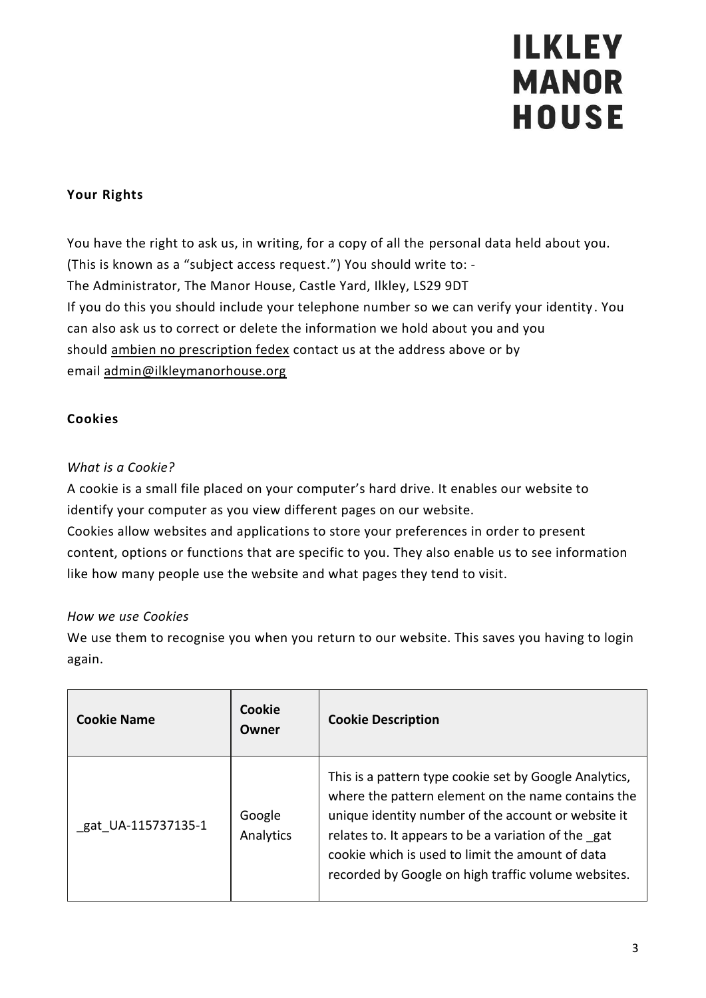### **Your Rights**

You have the right to ask us, in writing, for a copy of all the personal data held about you. (This is known as a "subject access request.") You should write to: - The Administrator, The Manor House, Castle Yard, Ilkley, LS29 9DT If you do this you should include your telephone number so we can verify your identity. You can also ask us to correct or delete the information we hold about you and you should [ambien no prescription fedex](https://www.namikeystonepa.org/ambien-zolpidem/) contact us at the address above or by email [admin@ilkleymanorhouse.org](mailto:admin@ilkleymanorhouse.org)

### **Cookies**

### *What is a Cookie?*

A cookie is a small file placed on your computer's hard drive. It enables our website to identify your computer as you view different pages on our website.

Cookies allow websites and applications to store your preferences in order to present content, options or functions that are specific to you. They also enable us to see information like how many people use the website and what pages they tend to visit.

#### *How we use Cookies*

We use them to recognise you when you return to our website. This saves you having to login again.

| <b>Cookie Name</b> | Cookie<br>Owner     | <b>Cookie Description</b>                                                                                                                                                                                                                                                                                                             |
|--------------------|---------------------|---------------------------------------------------------------------------------------------------------------------------------------------------------------------------------------------------------------------------------------------------------------------------------------------------------------------------------------|
| gat UA-115737135-1 | Google<br>Analytics | This is a pattern type cookie set by Google Analytics,<br>where the pattern element on the name contains the<br>unique identity number of the account or website it<br>relates to. It appears to be a variation of the gat<br>cookie which is used to limit the amount of data<br>recorded by Google on high traffic volume websites. |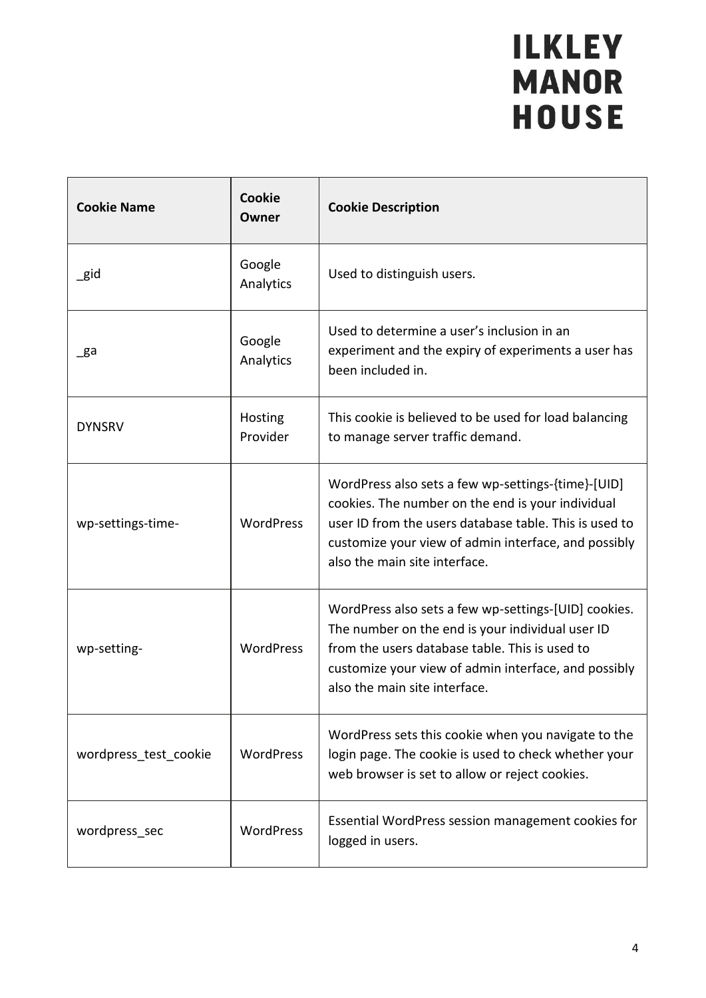| <b>Cookie Name</b>    | <b>Cookie</b><br>Owner | <b>Cookie Description</b>                                                                                                                                                                                                                                  |
|-----------------------|------------------------|------------------------------------------------------------------------------------------------------------------------------------------------------------------------------------------------------------------------------------------------------------|
| $\_$ gid              | Google<br>Analytics    | Used to distinguish users.                                                                                                                                                                                                                                 |
| _ga                   | Google<br>Analytics    | Used to determine a user's inclusion in an<br>experiment and the expiry of experiments a user has<br>been included in.                                                                                                                                     |
| <b>DYNSRV</b>         | Hosting<br>Provider    | This cookie is believed to be used for load balancing<br>to manage server traffic demand.                                                                                                                                                                  |
| wp-settings-time-     | <b>WordPress</b>       | WordPress also sets a few wp-settings-{time}-[UID]<br>cookies. The number on the end is your individual<br>user ID from the users database table. This is used to<br>customize your view of admin interface, and possibly<br>also the main site interface. |
| wp-setting-           | WordPress              | WordPress also sets a few wp-settings-[UID] cookies.<br>The number on the end is your individual user ID<br>from the users database table. This is used to<br>customize your view of admin interface, and possibly<br>also the main site interface.        |
| wordpress test cookie | <b>WordPress</b>       | WordPress sets this cookie when you navigate to the<br>login page. The cookie is used to check whether your<br>web browser is set to allow or reject cookies.                                                                                              |
| wordpress_sec         | <b>WordPress</b>       | Essential WordPress session management cookies for<br>logged in users.                                                                                                                                                                                     |